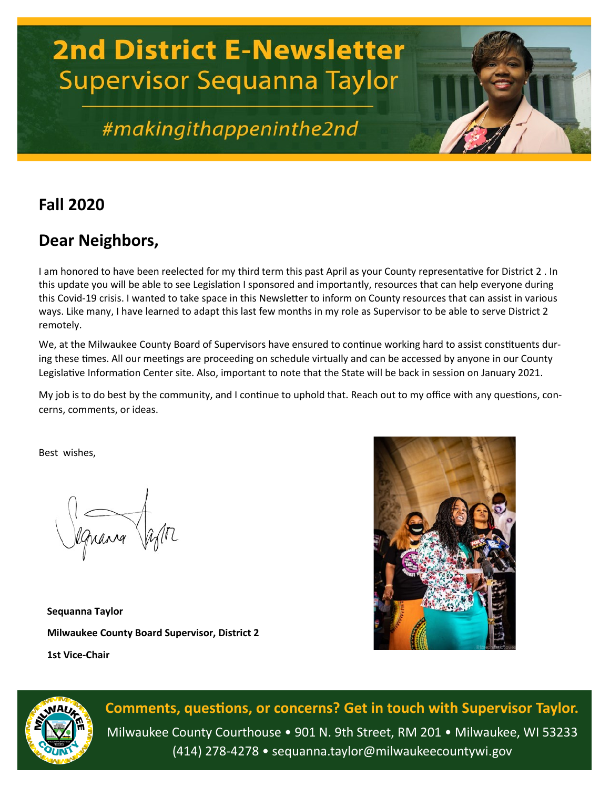# **2nd District E-Newsletter Supervisor Sequanna Taylor**

# #makingithappeninthe2nd

# **Fall 2020**

## **Dear Neighbors,**

I am honored to have been reelected for my third term this past April as your County representative for District 2 . In this update you will be able to see Legislation I sponsored and importantly, resources that can help everyone during this Covid-19 crisis. I wanted to take space in this Newsletter to inform on County resources that can assist in various ways. Like many, I have learned to adapt this last few months in my role as Supervisor to be able to serve District 2 remotely.

We, at the Milwaukee County Board of Supervisors have ensured to continue working hard to assist constituents during these times. All our meetings are proceeding on schedule virtually and can be accessed by anyone in our County Legislative Information Center site. Also, important to note that the State will be back in session on January 2021.

My job is to do best by the community, and I continue to uphold that. Reach out to my office with any questions, concerns, comments, or ideas.

Best wishes,

lquana after

**Sequanna Taylor Milwaukee County Board Supervisor, District 2 1st Vice-Chair**





**Comments, questions, or concerns? Get in touch with Supervisor Taylor.** Milwaukee County Courthouse • 901 N. 9th Street, RM 201 • Milwaukee, WI 53233 (414) 278-4278 • sequanna.taylor@milwaukeecountywi.gov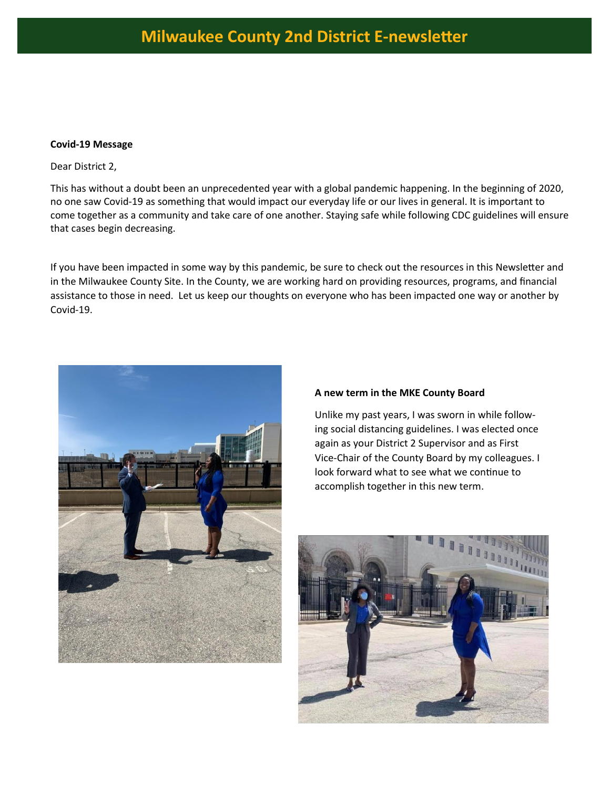#### **Covid-19 Message**

Dear District 2,

This has without a doubt been an unprecedented year with a global pandemic happening. In the beginning of 2020, no one saw Covid-19 as something that would impact our everyday life or our lives in general. It is important to come together as a community and take care of one another. Staying safe while following CDC guidelines will ensure that cases begin decreasing.

If you have been impacted in some way by this pandemic, be sure to check out the resources in this Newsletter and in the Milwaukee County Site. In the County, we are working hard on providing resources, programs, and financial assistance to those in need. Let us keep our thoughts on everyone who has been impacted one way or another by Covid-19.



#### **A new term in the MKE County Board**

Unlike my past years, I was sworn in while following social distancing guidelines. I was elected once again as your District 2 Supervisor and as First Vice-Chair of the County Board by my colleagues. I look forward what to see what we continue to accomplish together in this new term.

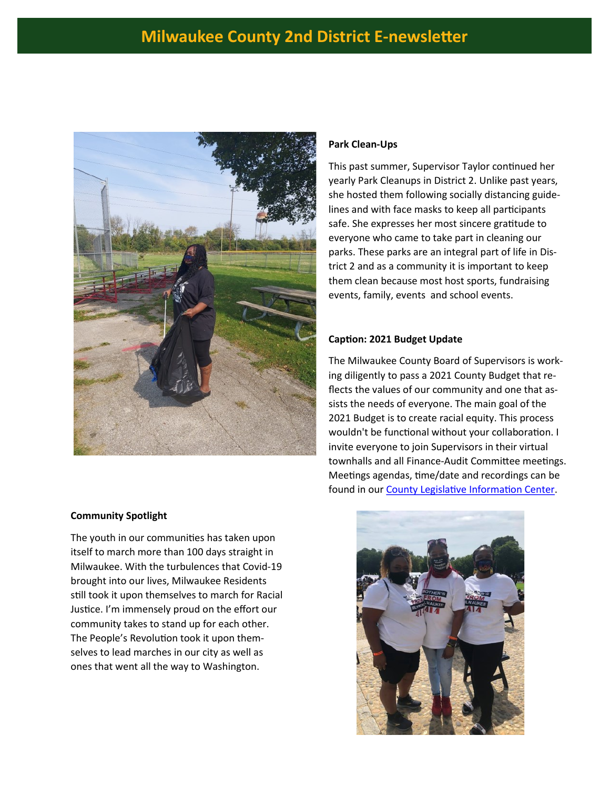### **Milwaukee County 2nd District E-newsletter**



#### **Park Clean-Ups**

This past summer, Supervisor Taylor continued her yearly Park Cleanups in District 2. Unlike past years, she hosted them following socially distancing guidelines and with face masks to keep all participants safe. She expresses her most sincere gratitude to everyone who came to take part in cleaning our parks. These parks are an integral part of life in District 2 and as a community it is important to keep them clean because most host sports, fundraising events, family, events and school events.

#### **Caption: 2021 Budget Update**

The Milwaukee County Board of Supervisors is working diligently to pass a 2021 County Budget that reflects the values of our community and one that assists the needs of everyone. The main goal of the 2021 Budget is to create racial equity. This process wouldn't be functional without your collaboration. I invite everyone to join Supervisors in their virtual townhalls and all Finance-Audit Committee meetings. Meetings agendas, time/date and recordings can be found in our [County Legislative Information Center.](https://county.milwaukee.gov/EN/County-Legislative-Information-Center) 



#### **Community Spotlight**

The youth in our communities has taken upon itself to march more than 100 days straight in Milwaukee. With the turbulences that Covid-19 brought into our lives, Milwaukee Residents still took it upon themselves to march for Racial Justice. I'm immensely proud on the effort our community takes to stand up for each other. The People's Revolution took it upon themselves to lead marches in our city as well as ones that went all the way to Washington.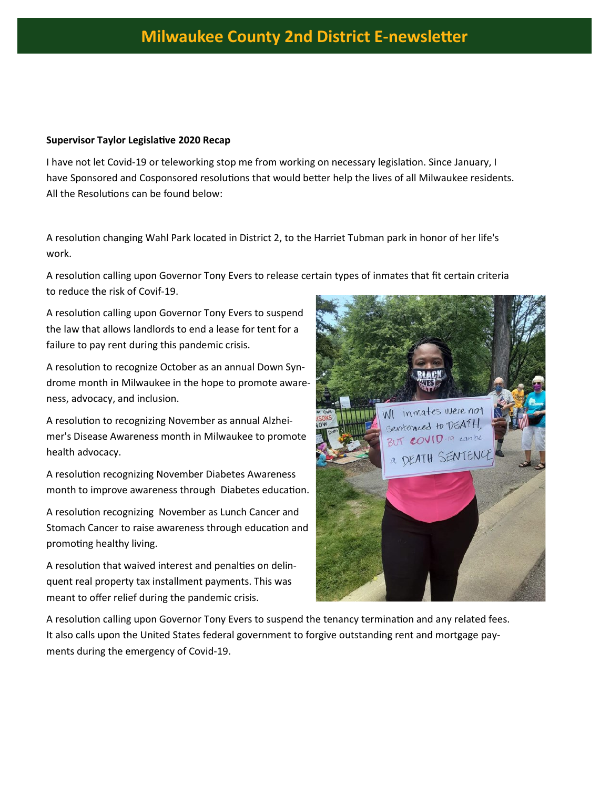#### **Supervisor Taylor Legislative 2020 Recap**

I have not let Covid-19 or teleworking stop me from working on necessary legislation. Since January, I have Sponsored and Cosponsored resolutions that would better help the lives of all Milwaukee residents. All the Resolutions can be found below:

A resolution changing Wahl Park located in District 2, to the Harriet Tubman park in honor of her life's work.

A resolution calling upon Governor Tony Evers to release certain types of inmates that fit certain criteria to reduce the risk of Covif-19.

A resolution calling upon Governor Tony Evers to suspend the law that allows landlords to end a lease for tent for a failure to pay rent during this pandemic crisis.

A resolution to recognize October as an annual Down Syndrome month in Milwaukee in the hope to promote awareness, advocacy, and inclusion.

A resolution to recognizing November as annual Alzheimer's Disease Awareness month in Milwaukee to promote health advocacy.

A resolution recognizing November Diabetes Awareness month to improve awareness through Diabetes education.

A resolution recognizing November as Lunch Cancer and Stomach Cancer to raise awareness through education and promoting healthy living.

A resolution that waived interest and penalties on delinquent real property tax installment payments. This was meant to offer relief during the pandemic crisis.



A resolution calling upon Governor Tony Evers to suspend the tenancy termination and any related fees. It also calls upon the United States federal government to forgive outstanding rent and mortgage payments during the emergency of Covid-19.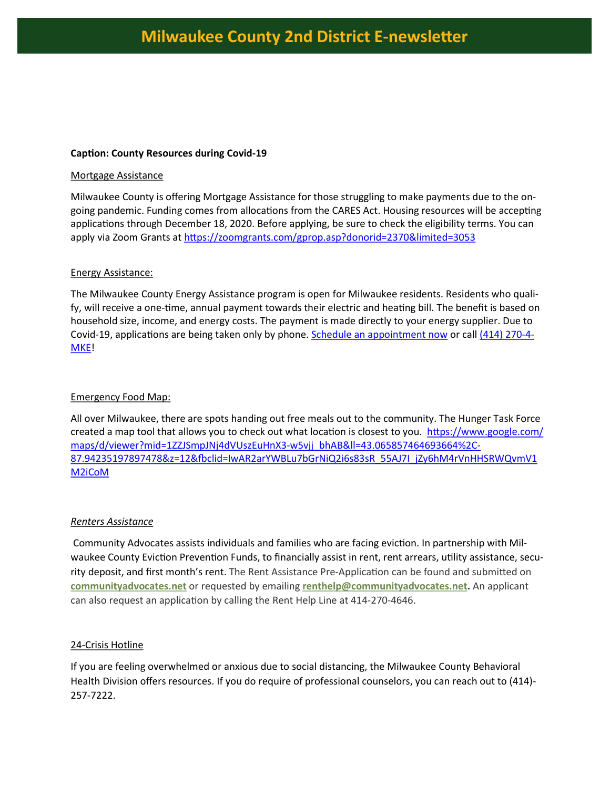#### **Caption: County Resources during Covid-19**

#### Mortgage Assistance

Milwaukee County is offering Mortgage Assistance for those struggling to make payments due to the ongoing pandemic. Funding comes from allocations from the CARES Act. Housing resources will be accepting applications through December 18, 2020. Before applying, be sure to check the eligibility terms. You can apply via Zoom Grants at <https://zoomgrants.com/gprop.asp?donorid=2370&limited=3053>

#### Energy Assistance:

The Milwaukee County Energy Assistance program is open for Milwaukee residents. Residents who qualify, will receive a one-time, annual payment towards their electric and heating bill. The benefit is based on household size, income, and energy costs. The payment is made directly to your energy supplier. Due to Covid-19, applications are being taken only by phone. [Schedule an appointment now](https://www.ca-apps.org/MilwaukeeHeat/ScheduleAppointment.html) or call [\(414\) 270](tel:+1-414-270-4653)-4-[MKE!](tel:+1-414-270-4653)

#### Emergency Food Map:

All over Milwaukee, there are spots handing out free meals out to the community. The Hunger Task Force created a map tool that allows you to check out what location is closest to you. [https://www.google.com/](https://www.google.com/maps/d/viewer?mid=1ZZJSmpJNj4dVUszEuHnX3-w5vjj_bhAB&ll=43.065857464693664%2C-87.94235197897478&z=12&fbclid=IwAR2arYWBLu7bGrNiQ2i6s83sR_55AJ7I_jZy6hM4rVnHHSRWQvmV1M2iCoM) [maps/d/viewer?mid=1ZZJSmpJNj4dVUszEuHnX3](https://www.google.com/maps/d/viewer?mid=1ZZJSmpJNj4dVUszEuHnX3-w5vjj_bhAB&ll=43.065857464693664%2C-87.94235197897478&z=12&fbclid=IwAR2arYWBLu7bGrNiQ2i6s83sR_55AJ7I_jZy6hM4rVnHHSRWQvmV1M2iCoM)-w5vjj\_bhAB&ll=43.065857464693664%2C-[87.94235197897478&z=12&fbclid=IwAR2arYWBLu7bGrNiQ2i6s83sR\\_55AJ7I\\_jZy6hM4rVnHHSRWQvmV1](https://www.google.com/maps/d/viewer?mid=1ZZJSmpJNj4dVUszEuHnX3-w5vjj_bhAB&ll=43.065857464693664%2C-87.94235197897478&z=12&fbclid=IwAR2arYWBLu7bGrNiQ2i6s83sR_55AJ7I_jZy6hM4rVnHHSRWQvmV1M2iCoM) [M2iCoM](https://www.google.com/maps/d/viewer?mid=1ZZJSmpJNj4dVUszEuHnX3-w5vjj_bhAB&ll=43.065857464693664%2C-87.94235197897478&z=12&fbclid=IwAR2arYWBLu7bGrNiQ2i6s83sR_55AJ7I_jZy6hM4rVnHHSRWQvmV1M2iCoM)

#### *Renters Assistance*

Community Advocates assists individuals and families who are facing eviction. In partnership with Milwaukee County Eviction Prevention Funds, to financially assist in rent, rent arrears, utility assistance, security deposit, and first month's rent. The Rent Assistance Pre-Application can be found and submitted on **[communityadvocates.net](https://communityadvocates.net/what-we-do/apply-for-rent-assistance.html)** or requested by emailing **[renthelp@communityadvocates.net.](mailto:renthelp@communityadvocates.net?subject=rent%20assistance%20application%20request)** An applicant can also request an application by calling the Rent Help Line at 414-270-4646.

#### 24-Crisis Hotline

If you are feeling overwhelmed or anxious due to social distancing, the Milwaukee County Behavioral Health Division offers resources. If you do require of professional counselors, you can reach out to (414)- 257-7222.